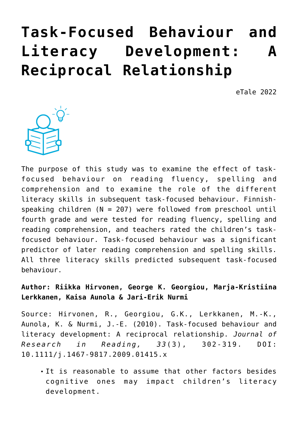# **[Task-Focused Behaviour and](https://dev.taleafrica.com/2021/12/28/task-focused-behaviour-and-literacy-development-a-reciprocal-relationship/)** Literacy Development: **[Reciprocal Relationship](https://dev.taleafrica.com/2021/12/28/task-focused-behaviour-and-literacy-development-a-reciprocal-relationship/)**

eTale 2022



The purpose of this study was to examine the effect of taskfocused behaviour on reading fluency, spelling and comprehension and to examine the role of the different literacy skills in subsequent task-focused behaviour. Finnishspeaking children (N = 207) were followed from preschool until fourth grade and were tested for reading fluency, spelling and reading comprehension, and teachers rated the children's taskfocused behaviour. Task-focused behaviour was a significant predictor of later reading comprehension and spelling skills. All three literacy skills predicted subsequent task-focused behaviour.

**Author: Riikka Hirvonen, George K. Georgiou, Marja-Kristiina Lerkkanen, Kaisa Aunola & Jari-Erik Nurmi**

Source: Hirvonen, R., Georgiou, G.K., Lerkkanen, M.-K., Aunola, K. & Nurmi, J.-E. (2010). Task-focused behaviour and literacy development: A reciprocal relationship. *Journal of Research in Reading, 33*(3), 302-319. DOI: 10.1111/j.1467-9817.2009.01415.x

It is reasonable to assume that other factors besides cognitive ones may impact children's literacy development.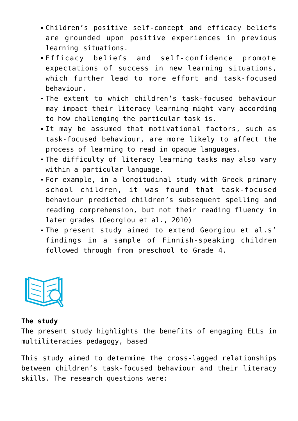- Children's positive self-concept and efficacy beliefs are grounded upon positive experiences in previous learning situations.
- Efficacy beliefs and self-confidence promote expectations of success in new learning situations, which further lead to more effort and task-focused behaviour.
- The extent to which children's task-focused behaviour may impact their literacy learning might vary according to how challenging the particular task is.
- It may be assumed that motivational factors, such as task-focused behaviour, are more likely to affect the process of learning to read in opaque languages.
- The difficulty of literacy learning tasks may also vary within a particular language.
- For example, in a longitudinal study with Greek primary school children, it was found that task-focused behaviour predicted children's subsequent spelling and reading comprehension, but not their reading fluency in later grades (Georgiou et al., 2010)
- The present study aimed to extend Georgiou et al.s' findings in a sample of Finnish-speaking children followed through from preschool to Grade 4.



#### **The study**

The present study highlights the benefits of engaging ELLs in multiliteracies pedagogy, based

This study aimed to determine the cross-lagged relationships between children's task-focused behaviour and their literacy skills. The research questions were: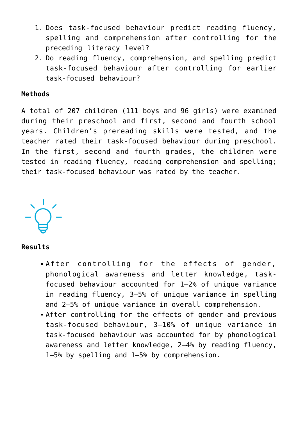- 1. Does task-focused behaviour predict reading fluency, spelling and comprehension after controlling for the preceding literacy level?
- 2. Do reading fluency, comprehension, and spelling predict task-focused behaviour after controlling for earlier task-focused behaviour?

### **Methods**

A total of 207 children (111 boys and 96 girls) were examined during their preschool and first, second and fourth school years. Children's prereading skills were tested, and the teacher rated their task-focused behaviour during preschool. In the first, second and fourth grades, the children were tested in reading fluency, reading comprehension and spelling; their task-focused behaviour was rated by the teacher.



### **Results**

- After controlling for the effects of gender, phonological awareness and letter knowledge, taskfocused behaviour accounted for 1–2% of unique variance in reading fluency, 3–5% of unique variance in spelling and 2–5% of unique variance in overall comprehension.
- After controlling for the effects of gender and previous task-focused behaviour, 3–10% of unique variance in task-focused behaviour was accounted for by phonological awareness and letter knowledge, 2–4% by reading fluency, 1–5% by spelling and 1–5% by comprehension.